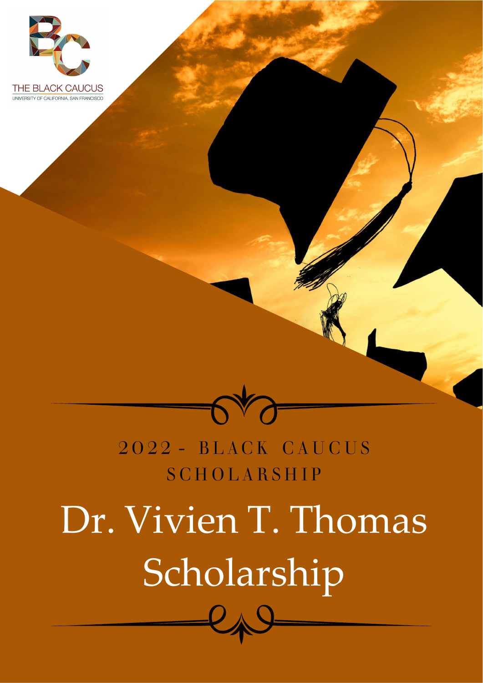



## 2022 - BLACK CAUCUS **SCHOLARSHIP**

# Dr. Vivien T. Thomas Scholarship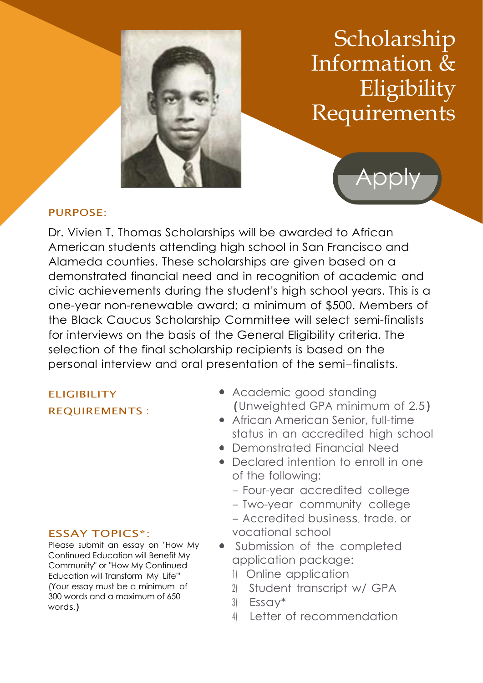

## Scholarship Information & Eligibility Requirements



### PURPOSE:

Dr. Vivien T. Thomas Scholarships will be awarded to African American students attending high school in San Francisco and Alameda counties. These scholarships are given based on a demonstrated financial need and in recognition of academic and civic achievements during the student's high school years. This is a one-year non-renewable award; a minimum of \$500. Members of the Black Caucus Scholarship Committee will select semi-finalists for interviews on the basis of the General Eligibility criteria. The selection of the final scholarship recipients is based on the personal interview and oral presentation of the semi-finalists.

## **ELIGIBILITY** REQUIREMENTS :

#### ESSAY TOPICS\*:

Please submit an essay on "How My Continued Education will Benefit My Community" or "How My Continued Education will Transform My Life'" (Your essay must be a minimum of 300 words and a maximum of 650 words.)

- Academic good standing (Unweighted GPA minimum of 2.5)
- African American Senior, full-time status in an accredited high school
- Demonstrated Financial Need
- Declared intention to enroll in one of the following:
	- Four-year accredited college
	- Two-year community college
	- Accredited business, trade, or vocational school
- Submission of the completed application package:
	- 1) Online application
	- 2) Student transcript w/ GPA
	- 3) Essay\*
	- 4) Letter of recommendation